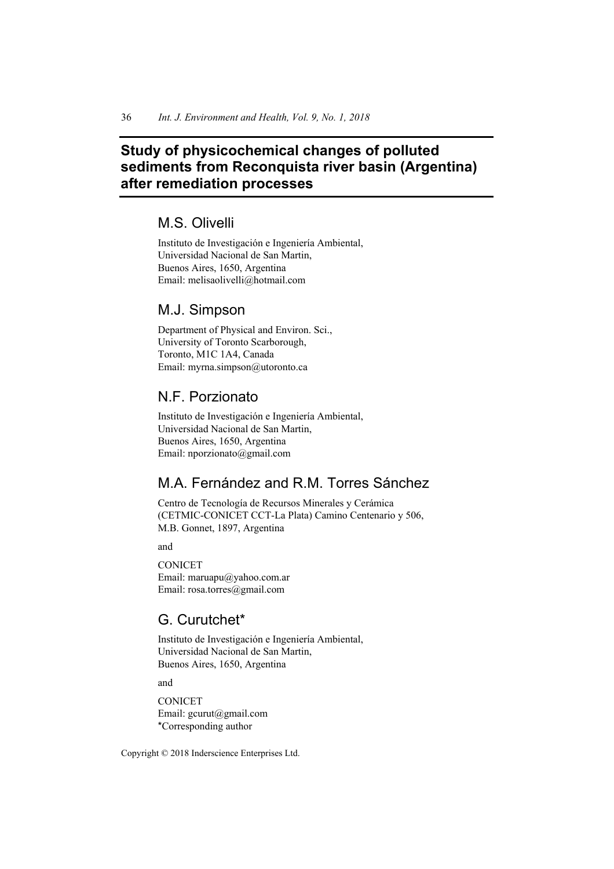# **Study of physicochemical changes of polluted sediments from Reconquista river basin (Argentina) after remediation processes**

# M.S. Olivelli

Instituto de Investigación e Ingeniería Ambiental, Universidad Nacional de San Martin, Buenos Aires, 1650, Argentina Email: melisaolivelli@hotmail.com

## M.J. Simpson

Department of Physical and Environ. Sci., University of Toronto Scarborough, Toronto, M1C 1A4, Canada Email: myrna.simpson@utoronto.ca

## N.F. Porzionato

Instituto de Investigación e Ingeniería Ambiental, Universidad Nacional de San Martin, Buenos Aires, 1650, Argentina Email: nporzionato@gmail.com

# M.A. Fernández and R.M. Torres Sánchez

Centro de Tecnología de Recursos Minerales y Cerámica (CETMIC-CONICET CCT-La Plata) Camino Centenario y 506, M.B. Gonnet, 1897, Argentina

and

**CONICET** Email: maruapu@yahoo.com.ar Email: rosa.torres@gmail.com

## G. Curutchet\*

Instituto de Investigación e Ingeniería Ambiental, Universidad Nacional de San Martin, Buenos Aires, 1650, Argentina

and

**CONICET** Email: gcurut@gmail.com \*Corresponding author

Copyright © 2018 Inderscience Enterprises Ltd.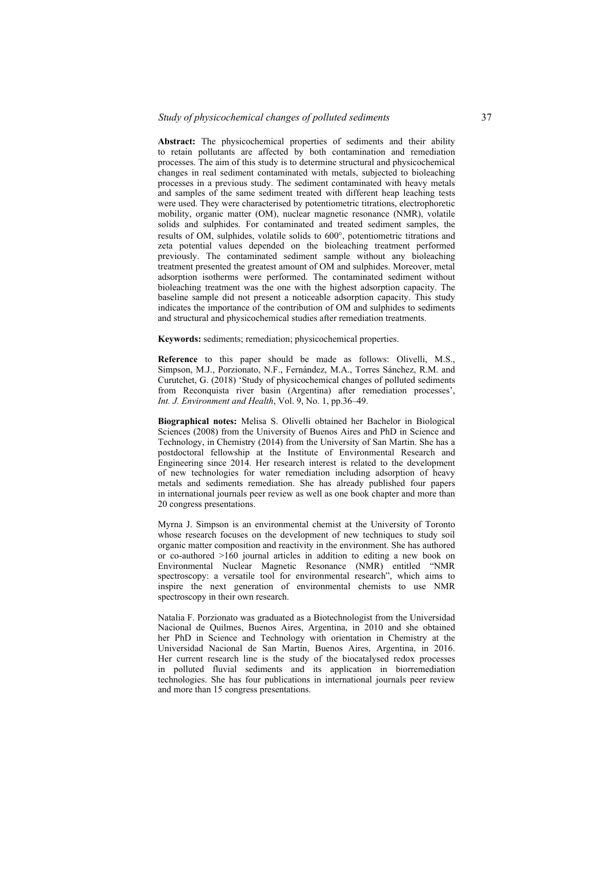**Abstract:** The physicochemical properties of sediments and their ability to retain pollutants are affected by both contamination and remediation processes. The aim of this study is to determine structural and physicochemical changes in real sediment contaminated with metals, subjected to bioleaching processes in a previous study. The sediment contaminated with heavy metals and samples of the same sediment treated with different heap leaching tests were used. They were characterised by potentiometric titrations, electrophoretic mobility, organic matter (OM), nuclear magnetic resonance (NMR), volatile solids and sulphides. For contaminated and treated sediment samples, the results of OM, sulphides, volatile solids to 600°, potentiometric titrations and zeta potential values depended on the bioleaching treatment performed previously. The contaminated sediment sample without any bioleaching treatment presented the greatest amount of OM and sulphides. Moreover, metal adsorption isotherms were performed. The contaminated sediment without bioleaching treatment was the one with the highest adsorption capacity. The baseline sample did not present a noticeable adsorption capacity. This study indicates the importance of the contribution of OM and sulphides to sediments and structural and physicochemical studies after remediation treatments.

**Keywords:** sediments; remediation; physicochemical properties.

**Reference** to this paper should be made as follows: Olivelli, M.S., Simpson, M.J., Porzionato, N.F., Fernández, M.A., Torres Sánchez, R.M. and Curutchet, G. (2018) 'Study of physicochemical changes of polluted sediments from Reconquista river basin (Argentina) after remediation processes', *Int. J. Environment and Health*, Vol. 9, No. 1, pp.36–49.

**Biographical notes:** Melisa S. Olivelli obtained her Bachelor in Biological Sciences (2008) from the University of Buenos Aires and PhD in Science and Technology, in Chemistry (2014) from the University of San Martin. She has a postdoctoral fellowship at the Institute of Environmental Research and Engineering since 2014. Her research interest is related to the development of new technologies for water remediation including adsorption of heavy metals and sediments remediation. She has already published four papers in international journals peer review as well as one book chapter and more than 20 congress presentations.

Myrna J. Simpson is an environmental chemist at the University of Toronto whose research focuses on the development of new techniques to study soil organic matter composition and reactivity in the environment. She has authored or co-authored >160 journal articles in addition to editing a new book on Environmental Nuclear Magnetic Resonance (NMR) entitled "NMR spectroscopy: a versatile tool for environmental research", which aims to inspire the next generation of environmental chemists to use NMR spectroscopy in their own research.

Natalia F. Porzionato was graduated as a Biotechnologist from the Universidad Nacional de Quilmes, Buenos Aires, Argentina, in 2010 and she obtained her PhD in Science and Technology with orientation in Chemistry at the Universidad Nacional de San Martín, Buenos Aires, Argentina, in 2016. Her current research line is the study of the biocatalysed redox processes in polluted fluvial sediments and its application in biorremediation technologies. She has four publications in international journals peer review and more than 15 congress presentations.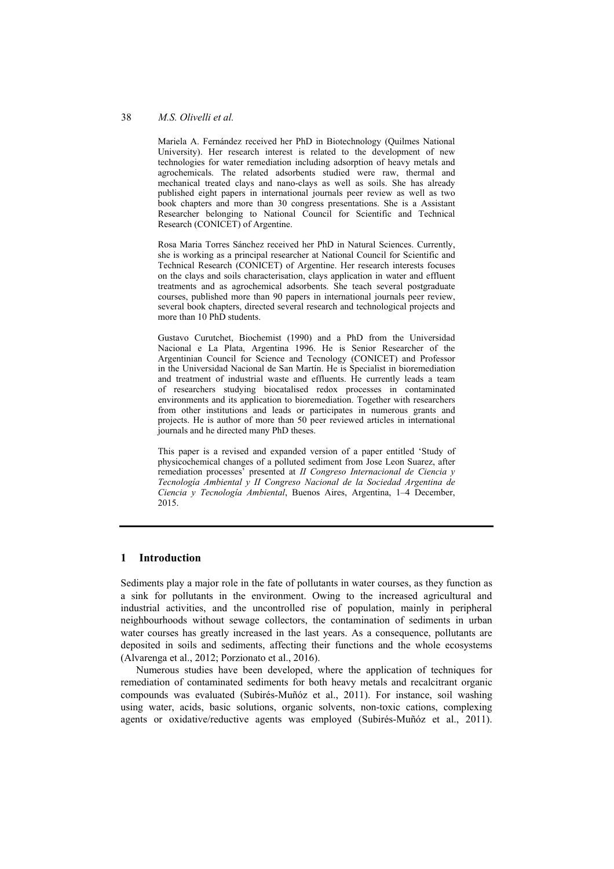Mariela A. Fernández received her PhD in Biotechnology (Quilmes National University). Her research interest is related to the development of new technologies for water remediation including adsorption of heavy metals and agrochemicals. The related adsorbents studied were raw, thermal and mechanical treated clays and nano-clays as well as soils. She has already published eight papers in international journals peer review as well as two book chapters and more than 30 congress presentations. She is a Assistant Researcher belonging to National Council for Scientific and Technical Research (CONICET) of Argentine.

Rosa Maria Torres Sánchez received her PhD in Natural Sciences. Currently, she is working as a principal researcher at National Council for Scientific and Technical Research (CONICET) of Argentine. Her research interests focuses on the clays and soils characterisation, clays application in water and effluent treatments and as agrochemical adsorbents. She teach several postgraduate courses, published more than 90 papers in international journals peer review, several book chapters, directed several research and technological projects and more than 10 PhD students.

Gustavo Curutchet, Biochemist (1990) and a PhD from the Universidad Nacional e La Plata, Argentina 1996. He is Senior Researcher of the Argentinian Council for Science and Tecnology (CONICET) and Professor in the Universidad Nacional de San Martín. He is Specialist in bioremediation and treatment of industrial waste and effluents. He currently leads a team of researchers studying biocatalised redox processes in contaminated environments and its application to bioremediation. Together with researchers from other institutions and leads or participates in numerous grants and projects. He is author of more than 50 peer reviewed articles in international journals and he directed many PhD theses.

This paper is a revised and expanded version of a paper entitled 'Study of physicochemical changes of a polluted sediment from Jose Leon Suarez, after remediation processes' presented at *II Congreso Internacional de Ciencia y Tecnología Ambiental y II Congreso Nacional de la Sociedad Argentina de Ciencia y Tecnología Ambiental*, Buenos Aires, Argentina, 1–4 December, 2015.

## **1 Introduction**

Sediments play a major role in the fate of pollutants in water courses, as they function as a sink for pollutants in the environment. Owing to the increased agricultural and industrial activities, and the uncontrolled rise of population, mainly in peripheral neighbourhoods without sewage collectors, the contamination of sediments in urban water courses has greatly increased in the last years. As a consequence, pollutants are deposited in soils and sediments, affecting their functions and the whole ecosystems (Alvarenga et al., 2012; Porzionato et al., 2016).

Numerous studies have been developed, where the application of techniques for remediation of contaminated sediments for both heavy metals and recalcitrant organic compounds was evaluated (Subirés-Muñóz et al., 2011). For instance, soil washing using water, acids, basic solutions, organic solvents, non-toxic cations, complexing agents or oxidative/reductive agents was employed (Subirés-Muñóz et al., 2011).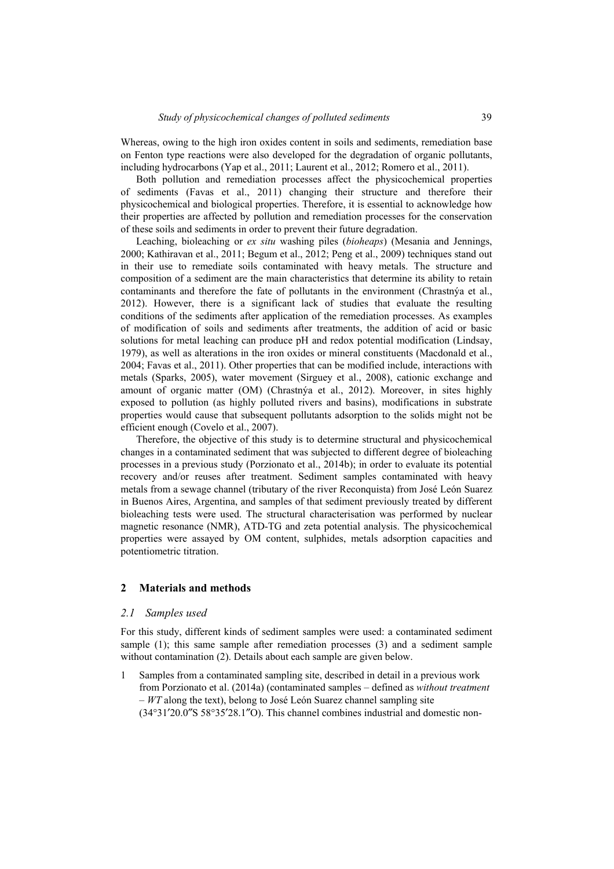Whereas, owing to the high iron oxides content in soils and sediments, remediation base on Fenton type reactions were also developed for the degradation of organic pollutants, including hydrocarbons (Yap et al., 2011; Laurent et al., 2012; Romero et al., 2011).

Both pollution and remediation processes affect the physicochemical properties of sediments (Favas et al., 2011) changing their structure and therefore their physicochemical and biological properties. Therefore, it is essential to acknowledge how their properties are affected by pollution and remediation processes for the conservation of these soils and sediments in order to prevent their future degradation.

Leaching, bioleaching or *ex situ* washing piles (*bioheaps*) (Mesania and Jennings, 2000; Kathiravan et al., 2011; Begum et al., 2012; Peng et al., 2009) techniques stand out in their use to remediate soils contaminated with heavy metals. The structure and composition of a sediment are the main characteristics that determine its ability to retain contaminants and therefore the fate of pollutants in the environment (Chrastnýa et al., 2012). However, there is a significant lack of studies that evaluate the resulting conditions of the sediments after application of the remediation processes. As examples of modification of soils and sediments after treatments, the addition of acid or basic solutions for metal leaching can produce pH and redox potential modification (Lindsay, 1979), as well as alterations in the iron oxides or mineral constituents (Macdonald et al., 2004; Favas et al., 2011). Other properties that can be modified include, interactions with metals (Sparks, 2005), water movement (Sirguey et al., 2008), cationic exchange and amount of organic matter (OM) (Chrastnýa et al., 2012). Moreover, in sites highly exposed to pollution (as highly polluted rivers and basins), modifications in substrate properties would cause that subsequent pollutants adsorption to the solids might not be efficient enough (Covelo et al., 2007).

Therefore, the objective of this study is to determine structural and physicochemical changes in a contaminated sediment that was subjected to different degree of bioleaching processes in a previous study (Porzionato et al., 2014b); in order to evaluate its potential recovery and/or reuses after treatment. Sediment samples contaminated with heavy metals from a sewage channel (tributary of the river Reconquista) from José León Suarez in Buenos Aires, Argentina, and samples of that sediment previously treated by different bioleaching tests were used. The structural characterisation was performed by nuclear magnetic resonance (NMR), ATD-TG and zeta potential analysis. The physicochemical properties were assayed by OM content, sulphides, metals adsorption capacities and potentiometric titration.

#### **2 Materials and methods**

#### *2.1 Samples used*

For this study, different kinds of sediment samples were used: a contaminated sediment sample (1); this same sample after remediation processes (3) and a sediment sample without contamination (2). Details about each sample are given below.

1 Samples from a contaminated sampling site, described in detail in a previous work from Porzionato et al. (2014a) (contaminated samples – defined as *without treatment*  – *WT* along the text), belong to José León Suarez channel sampling site (34°31′20.0″S 58°35′28.1″O). This channel combines industrial and domestic non-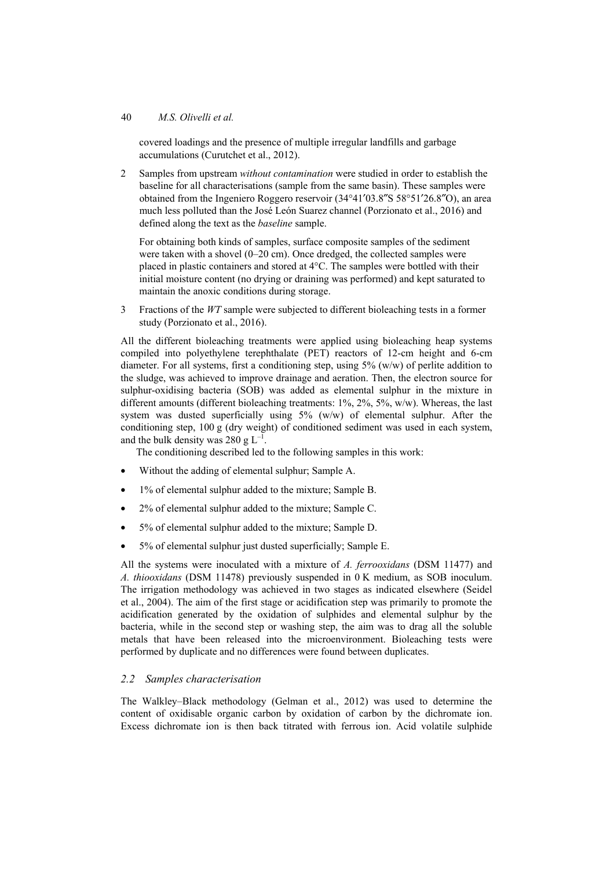covered loadings and the presence of multiple irregular landfills and garbage accumulations (Curutchet et al., 2012).

2 Samples from upstream *without contamination* were studied in order to establish the baseline for all characterisations (sample from the same basin). These samples were obtained from the Ingeniero Roggero reservoir (34°41′03.8″S 58°51′26.8″O), an area much less polluted than the José León Suarez channel (Porzionato et al., 2016) and defined along the text as the *baseline* sample.

For obtaining both kinds of samples, surface composite samples of the sediment were taken with a shovel (0–20 cm). Once dredged, the collected samples were placed in plastic containers and stored at 4°C. The samples were bottled with their initial moisture content (no drying or draining was performed) and kept saturated to maintain the anoxic conditions during storage.

3 Fractions of the *WT* sample were subjected to different bioleaching tests in a former study (Porzionato et al., 2016).

All the different bioleaching treatments were applied using bioleaching heap systems compiled into polyethylene terephthalate (PET) reactors of 12-cm height and 6-cm diameter. For all systems, first a conditioning step, using 5% (w/w) of perlite addition to the sludge, was achieved to improve drainage and aeration. Then, the electron source for sulphur-oxidising bacteria (SOB) was added as elemental sulphur in the mixture in different amounts (different bioleaching treatments: 1%, 2%, 5%, w/w). Whereas, the last system was dusted superficially using 5% (w/w) of elemental sulphur. After the conditioning step, 100 g (dry weight) of conditioned sediment was used in each system, and the bulk density was 280 g  $L^{-1}$ .

The conditioning described led to the following samples in this work:

- Without the adding of elemental sulphur; Sample A.
- 1% of elemental sulphur added to the mixture; Sample B.
- 2% of elemental sulphur added to the mixture; Sample C.
- 5% of elemental sulphur added to the mixture; Sample D.
- 5% of elemental sulphur just dusted superficially; Sample E.

All the systems were inoculated with a mixture of *A. ferrooxidans* (DSM 11477) and *A. thiooxidans* (DSM 11478) previously suspended in 0 K medium, as SOB inoculum. The irrigation methodology was achieved in two stages as indicated elsewhere (Seidel et al., 2004). The aim of the first stage or acidification step was primarily to promote the acidification generated by the oxidation of sulphides and elemental sulphur by the bacteria, while in the second step or washing step, the aim was to drag all the soluble metals that have been released into the microenvironment. Bioleaching tests were performed by duplicate and no differences were found between duplicates.

#### *2.2 Samples characterisation*

The Walkley–Black methodology (Gelman et al., 2012) was used to determine the content of oxidisable organic carbon by oxidation of carbon by the dichromate ion. Excess dichromate ion is then back titrated with ferrous ion. Acid volatile sulphide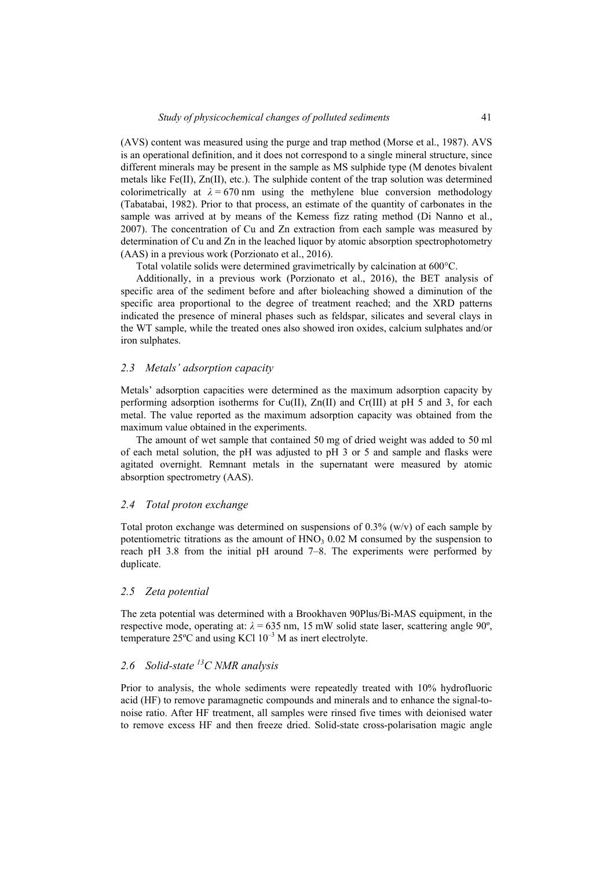(AVS) content was measured using the purge and trap method (Morse et al., 1987). AVS is an operational definition, and it does not correspond to a single mineral structure, since different minerals may be present in the sample as MS sulphide type (M denotes bivalent metals like Fe(II), Zn(II), etc.). The sulphide content of the trap solution was determined colorimetrically at  $\lambda = 670$  nm using the methylene blue conversion methodology (Tabatabai, 1982). Prior to that process, an estimate of the quantity of carbonates in the sample was arrived at by means of the Kemess fizz rating method (Di Nanno et al., 2007). The concentration of Cu and Zn extraction from each sample was measured by determination of Cu and Zn in the leached liquor by atomic absorption spectrophotometry (AAS) in a previous work (Porzionato et al., 2016).

Total volatile solids were determined gravimetrically by calcination at 600°C.

Additionally, in a previous work (Porzionato et al., 2016), the BET analysis of specific area of the sediment before and after bioleaching showed a diminution of the specific area proportional to the degree of treatment reached; and the XRD patterns indicated the presence of mineral phases such as feldspar, silicates and several clays in the WT sample, while the treated ones also showed iron oxides, calcium sulphates and/or iron sulphates.

### *2.3 Metals' adsorption capacity*

Metals' adsorption capacities were determined as the maximum adsorption capacity by performing adsorption isotherms for  $Cu(II)$ ,  $Zn(II)$  and  $Cr(III)$  at pH 5 and 3, for each metal. The value reported as the maximum adsorption capacity was obtained from the maximum value obtained in the experiments.

The amount of wet sample that contained 50 mg of dried weight was added to 50 ml of each metal solution, the pH was adjusted to pH 3 or 5 and sample and flasks were agitated overnight. Remnant metals in the supernatant were measured by atomic absorption spectrometry (AAS).

#### *2.4 Total proton exchange*

Total proton exchange was determined on suspensions of  $0.3\%$  (w/v) of each sample by potentiometric titrations as the amount of  $HNO<sub>3</sub> 0.02 M$  consumed by the suspension to reach pH 3.8 from the initial pH around 7–8. The experiments were performed by duplicate.

## *2.5 Zeta potential*

The zeta potential was determined with a Brookhaven 90Plus/Bi-MAS equipment, in the respective mode, operating at:  $\lambda = 635$  nm, 15 mW solid state laser, scattering angle 90<sup>°</sup>, temperature  $25^{\circ}$ C and using KCl  $10^{-3}$  M as inert electrolyte.

## *2.6 Solid-state 13C NMR analysis*

Prior to analysis, the whole sediments were repeatedly treated with 10% hydrofluoric acid (HF) to remove paramagnetic compounds and minerals and to enhance the signal-tonoise ratio. After HF treatment, all samples were rinsed five times with deionised water to remove excess HF and then freeze dried. Solid-state cross-polarisation magic angle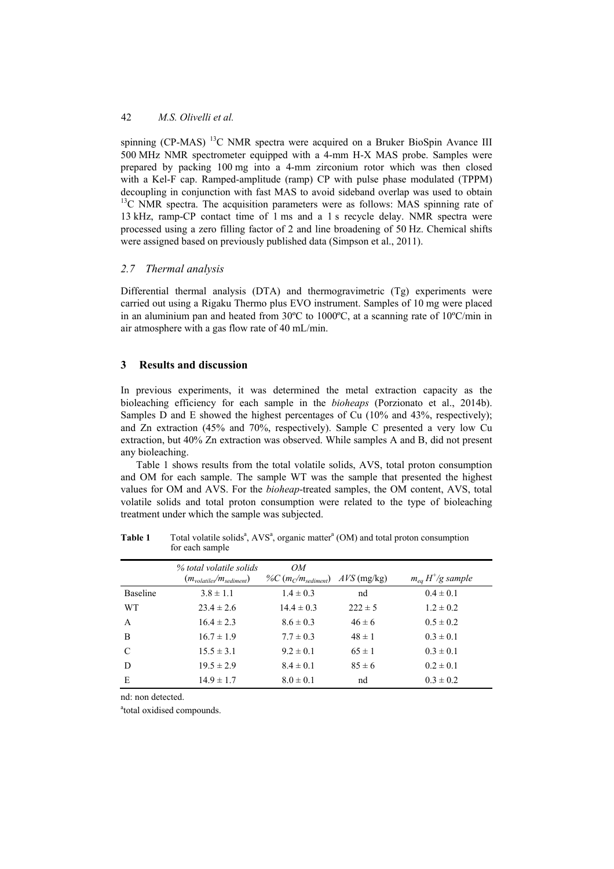spinning (CP-MAS) <sup>13</sup>C NMR spectra were acquired on a Bruker BioSpin Avance III 500 MHz NMR spectrometer equipped with a 4-mm H-X MAS probe. Samples were prepared by packing 100 mg into a 4-mm zirconium rotor which was then closed with a Kel-F cap. Ramped-amplitude (ramp) CP with pulse phase modulated (TPPM) decoupling in conjunction with fast MAS to avoid sideband overlap was used to obtain <sup>13</sup>C NMR spectra. The acquisition parameters were as follows: MAS spinning rate of 13 kHz, ramp-CP contact time of 1 ms and a 1 s recycle delay. NMR spectra were processed using a zero filling factor of 2 and line broadening of 50 Hz. Chemical shifts were assigned based on previously published data (Simpson et al., 2011).

#### *2.7 Thermal analysis*

Differential thermal analysis (DTA) and thermogravimetric (Tg) experiments were carried out using a Rigaku Thermo plus EVO instrument. Samples of 10 mg were placed in an aluminium pan and heated from  $30^{\circ}$ C to  $1000^{\circ}$ C, at a scanning rate of  $10^{\circ}$ C/min in air atmosphere with a gas flow rate of 40 mL/min.

#### **3 Results and discussion**

In previous experiments, it was determined the metal extraction capacity as the bioleaching efficiency for each sample in the *bioheaps* (Porzionato et al., 2014b). Samples D and E showed the highest percentages of Cu (10% and 43%, respectively); and Zn extraction (45% and 70%, respectively). Sample C presented a very low Cu extraction, but 40% Zn extraction was observed. While samples A and B, did not present any bioleaching.

Table 1 shows results from the total volatile solids, AVS, total proton consumption and OM for each sample. The sample WT was the sample that presented the highest values for OM and AVS. For the *bioheap*-treated samples, the OM content, AVS, total volatile solids and total proton consumption were related to the type of bioleaching treatment under which the sample was subjected.

|                 | % total volatile solids<br>$(m_{valatile} / m_{sediment})$ | OM<br>% $C(m_{C}/m_{\text{sediment}})$ | $AVS$ (mg/kg) | $m_{eq} H^{+}/g$ sample |
|-----------------|------------------------------------------------------------|----------------------------------------|---------------|-------------------------|
| <b>Baseline</b> | $3.8 \pm 1.1$                                              | $1.4 \pm 0.3$                          | nd            | $0.4 \pm 0.1$           |
| <b>WT</b>       | $23.4 \pm 2.6$                                             | $14.4 \pm 0.3$                         | $222 \pm 5$   | $1.2 \pm 0.2$           |
| A               | $16.4 \pm 2.3$                                             | $8.6 \pm 0.3$                          | $46 \pm 6$    | $0.5 \pm 0.2$           |
| B               | $16.7 \pm 1.9$                                             | $7.7 \pm 0.3$                          | $48 \pm 1$    | $0.3 \pm 0.1$           |
| C               | $15.5 \pm 3.1$                                             | $9.2 \pm 0.1$                          | $65 \pm 1$    | $0.3 \pm 0.1$           |
| D               | $19.5 \pm 2.9$                                             | $8.4 \pm 0.1$                          | $85 \pm 6$    | $0.2 \pm 0.1$           |
| E               | $14.9 \pm 1.7$                                             | $8.0 \pm 0.1$                          | nd            | $0.3 \pm 0.2$           |

**Table 1** Total volatile solids<sup>a</sup>,  $AVS<sup>a</sup>$ , organic matter<sup>a</sup> (OM) and total proton consumption for each sample

nd: non detected.

<sup>a</sup>total oxidised compounds.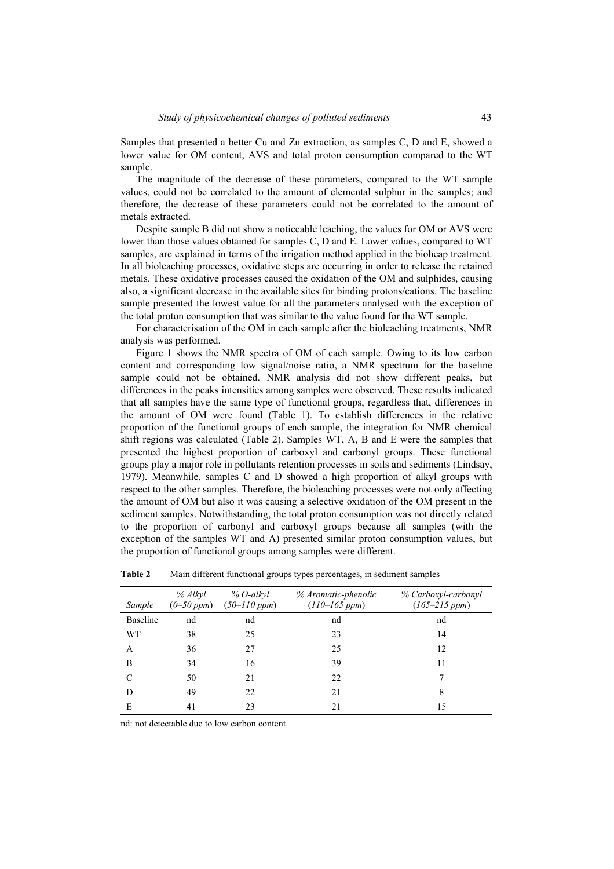Samples that presented a better Cu and Zn extraction, as samples C, D and E, showed a lower value for OM content, AVS and total proton consumption compared to the WT sample.

The magnitude of the decrease of these parameters, compared to the WT sample values, could not be correlated to the amount of elemental sulphur in the samples; and therefore, the decrease of these parameters could not be correlated to the amount of metals extracted.

Despite sample B did not show a noticeable leaching, the values for OM or AVS were lower than those values obtained for samples C, D and E. Lower values, compared to WT samples, are explained in terms of the irrigation method applied in the bioheap treatment. In all bioleaching processes, oxidative steps are occurring in order to release the retained metals. These oxidative processes caused the oxidation of the OM and sulphides, causing also, a significant decrease in the available sites for binding protons/cations. The baseline sample presented the lowest value for all the parameters analysed with the exception of the total proton consumption that was similar to the value found for the WT sample.

For characterisation of the OM in each sample after the bioleaching treatments, NMR analysis was performed.

Figure 1 shows the NMR spectra of OM of each sample. Owing to its low carbon content and corresponding low signal/noise ratio, a NMR spectrum for the baseline sample could not be obtained. NMR analysis did not show different peaks, but differences in the peaks intensities among samples were observed. These results indicated that all samples have the same type of functional groups, regardless that, differences in the amount of OM were found (Table 1). To establish differences in the relative proportion of the functional groups of each sample, the integration for NMR chemical shift regions was calculated (Table 2). Samples WT, A, B and E were the samples that presented the highest proportion of carboxyl and carbonyl groups. These functional groups play a major role in pollutants retention processes in soils and sediments (Lindsay, 1979). Meanwhile, samples C and D showed a high proportion of alkyl groups with respect to the other samples. Therefore, the bioleaching processes were not only affecting the amount of OM but also it was causing a selective oxidation of the OM present in the sediment samples. Notwithstanding, the total proton consumption was not directly related to the proportion of carbonyl and carboxyl groups because all samples (with the exception of the samples WT and A) presented similar proton consumption values, but the proportion of functional groups among samples were different.

| Sample          | % Alkyl<br>$(0-50 ppm)$ | % O-alkyl<br>$(50-110~ppm)$ | % Aromatic-phenolic<br>$(110-165~ppm)$ | % Carboxyl-carbonyl<br>$(165 - 215 ppm)$ |
|-----------------|-------------------------|-----------------------------|----------------------------------------|------------------------------------------|
| <b>Baseline</b> | nd                      | nd                          | nd                                     | nd                                       |
| WT              | 38                      | 25                          | 23                                     | 14                                       |
| A               | 36                      | 27                          | 25                                     | 12                                       |
| B               | 34                      | 16                          | 39                                     | 11                                       |
| $\mathcal{C}$   | 50                      | 21                          | 22                                     | 7                                        |
| D               | 49                      | 22                          | 21                                     | 8                                        |
| E               | 41                      | 23                          | 21                                     | 15                                       |

**Table 2** Main different functional groups types percentages, in sediment samples

nd: not detectable due to low carbon content.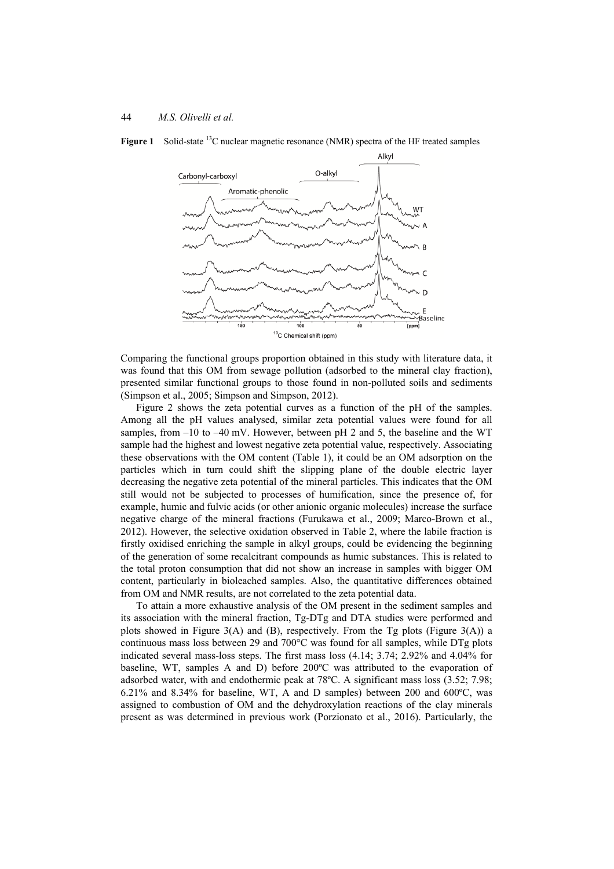

**Figure 1** Solid-state <sup>13</sup>C nuclear magnetic resonance (NMR) spectra of the HF treated samples

Comparing the functional groups proportion obtained in this study with literature data, it was found that this OM from sewage pollution (adsorbed to the mineral clay fraction), presented similar functional groups to those found in non-polluted soils and sediments (Simpson et al., 2005; Simpson and Simpson, 2012).

Figure 2 shows the zeta potential curves as a function of the pH of the samples. Among all the pH values analysed, similar zeta potential values were found for all samples, from  $-10$  to  $-40$  mV. However, between pH 2 and 5, the baseline and the WT sample had the highest and lowest negative zeta potential value, respectively. Associating these observations with the OM content (Table 1), it could be an OM adsorption on the particles which in turn could shift the slipping plane of the double electric layer decreasing the negative zeta potential of the mineral particles. This indicates that the OM still would not be subjected to processes of humification, since the presence of, for example, humic and fulvic acids (or other anionic organic molecules) increase the surface negative charge of the mineral fractions (Furukawa et al., 2009; Marco-Brown et al., 2012). However, the selective oxidation observed in Table 2, where the labile fraction is firstly oxidised enriching the sample in alkyl groups, could be evidencing the beginning of the generation of some recalcitrant compounds as humic substances. This is related to the total proton consumption that did not show an increase in samples with bigger OM content, particularly in bioleached samples. Also, the quantitative differences obtained from OM and NMR results, are not correlated to the zeta potential data.

To attain a more exhaustive analysis of the OM present in the sediment samples and its association with the mineral fraction, Tg-DTg and DTA studies were performed and plots showed in Figure  $3(A)$  and  $(B)$ , respectively. From the Tg plots (Figure  $3(A)$ ) a continuous mass loss between 29 and 700°C was found for all samples, while DTg plots indicated several mass-loss steps. The first mass loss (4.14; 3.74; 2.92% and 4.04% for baseline, WT, samples A and D) before 200ºC was attributed to the evaporation of adsorbed water, with and endothermic peak at 78ºC. A significant mass loss (3.52; 7.98; 6.21% and 8.34% for baseline, WT, A and D samples) between 200 and 600ºC, was assigned to combustion of OM and the dehydroxylation reactions of the clay minerals present as was determined in previous work (Porzionato et al., 2016). Particularly, the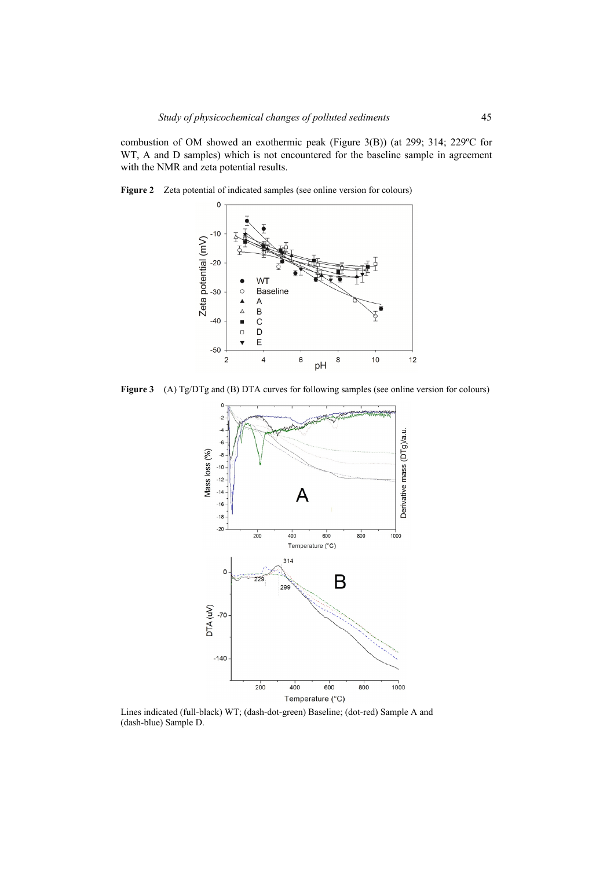combustion of OM showed an exothermic peak (Figure 3(B)) (at 299; 314; 229ºC for WT, A and D samples) which is not encountered for the baseline sample in agreement with the NMR and zeta potential results.



**Figure 2** Zeta potential of indicated samples (see online version for colours)

Figure 3 (A) Tg/DTg and (B) DTA curves for following samples (see online version for colours)



Lines indicated (full-black) WT; (dash-dot-green) Baseline; (dot-red) Sample A and (dash-blue) Sample D.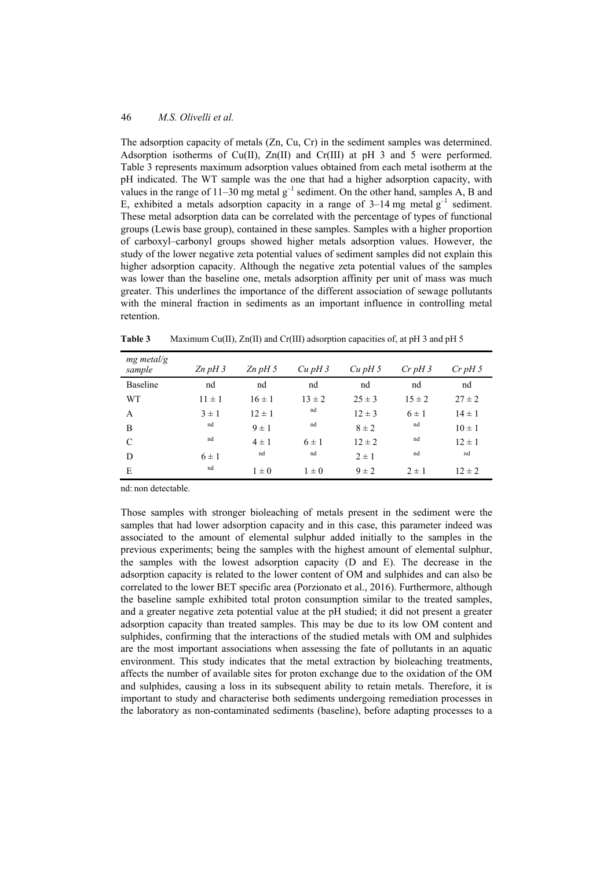The adsorption capacity of metals (Zn, Cu, Cr) in the sediment samples was determined. Adsorption isotherms of Cu(II), Zn(II) and Cr(III) at pH 3 and 5 were performed. Table 3 represents maximum adsorption values obtained from each metal isotherm at the pH indicated. The WT sample was the one that had a higher adsorption capacity, with values in the range of  $11-30$  mg metal  $g^{-1}$  sediment. On the other hand, samples A, B and E, exhibited a metals adsorption capacity in a range of  $3-14$  mg metal  $g^{-1}$  sediment. These metal adsorption data can be correlated with the percentage of types of functional groups (Lewis base group), contained in these samples. Samples with a higher proportion of carboxyl–carbonyl groups showed higher metals adsorption values. However, the study of the lower negative zeta potential values of sediment samples did not explain this higher adsorption capacity. Although the negative zeta potential values of the samples was lower than the baseline one, metals adsorption affinity per unit of mass was much greater. This underlines the importance of the different association of sewage pollutants with the mineral fraction in sediments as an important influence in controlling metal retention.

| $mg$ metal/g<br>sample | $Zn$ pH 3  | $Zn$ pH 5  | $Cu$ pH $3$ | $Cu$ pH 5  | $Cr$ pH 3  | $Cr$ pH 5  |
|------------------------|------------|------------|-------------|------------|------------|------------|
| <b>Baseline</b>        | nd         | nd         | nd          | nd         | nd         | nd         |
| <b>WT</b>              | $11 \pm 1$ | $16 \pm 1$ | $13 \pm 2$  | $25 \pm 3$ | $15 \pm 2$ | $27 \pm 2$ |
| A                      | $3 \pm 1$  | $12 \pm 1$ | nd          | $12 \pm 3$ | $6 \pm 1$  | $14 \pm 1$ |
| B                      | nd         | $9 \pm 1$  | nd          | $8 \pm 2$  | nd         | $10 \pm 1$ |
| C                      | nd         | $4 \pm 1$  | $6 \pm 1$   | $12 \pm 2$ | nd         | $12 \pm 1$ |
| D                      | $6 \pm 1$  | nd         | nd          | $2 \pm 1$  | nd         | nd         |
| E                      | nd         | $1 \pm 0$  | $1\pm 0$    | $9 \pm 2$  | $2 \pm 1$  | $12 \pm 2$ |

**Table 3** Maximum Cu(II), Zn(II) and Cr(III) adsorption capacities of, at pH 3 and pH 5

nd: non detectable.

Those samples with stronger bioleaching of metals present in the sediment were the samples that had lower adsorption capacity and in this case, this parameter indeed was associated to the amount of elemental sulphur added initially to the samples in the previous experiments; being the samples with the highest amount of elemental sulphur, the samples with the lowest adsorption capacity (D and E). The decrease in the adsorption capacity is related to the lower content of OM and sulphides and can also be correlated to the lower BET specific area (Porzionato et al., 2016). Furthermore, although the baseline sample exhibited total proton consumption similar to the treated samples, and a greater negative zeta potential value at the pH studied; it did not present a greater adsorption capacity than treated samples. This may be due to its low OM content and sulphides, confirming that the interactions of the studied metals with OM and sulphides are the most important associations when assessing the fate of pollutants in an aquatic environment. This study indicates that the metal extraction by bioleaching treatments, affects the number of available sites for proton exchange due to the oxidation of the OM and sulphides, causing a loss in its subsequent ability to retain metals. Therefore, it is important to study and characterise both sediments undergoing remediation processes in the laboratory as non-contaminated sediments (baseline), before adapting processes to a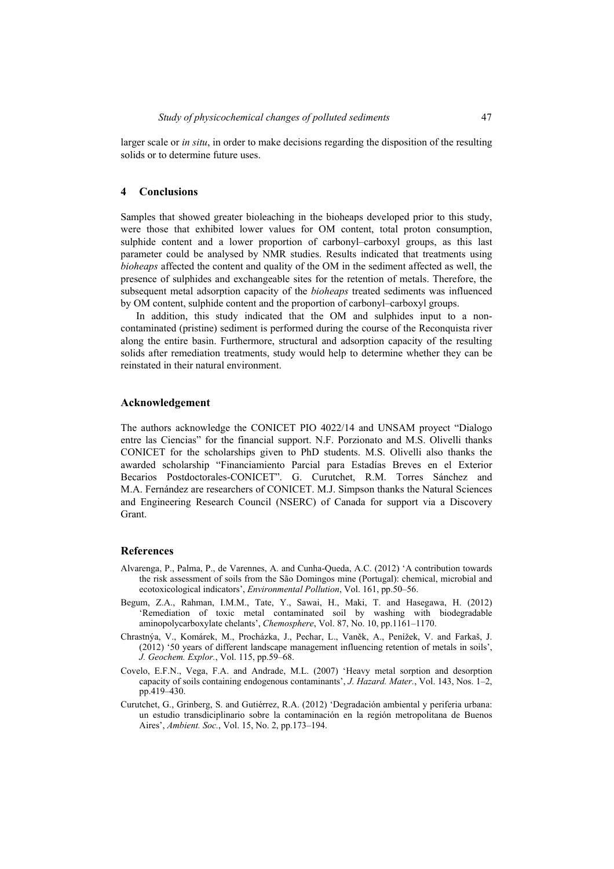larger scale or *in situ*, in order to make decisions regarding the disposition of the resulting solids or to determine future uses.

## **4 Conclusions**

Samples that showed greater bioleaching in the bioheaps developed prior to this study, were those that exhibited lower values for OM content, total proton consumption, sulphide content and a lower proportion of carbonyl–carboxyl groups, as this last parameter could be analysed by NMR studies. Results indicated that treatments using *bioheaps* affected the content and quality of the OM in the sediment affected as well, the presence of sulphides and exchangeable sites for the retention of metals. Therefore, the subsequent metal adsorption capacity of the *bioheaps* treated sediments was influenced by OM content, sulphide content and the proportion of carbonyl–carboxyl groups.

In addition, this study indicated that the OM and sulphides input to a noncontaminated (pristine) sediment is performed during the course of the Reconquista river along the entire basin. Furthermore, structural and adsorption capacity of the resulting solids after remediation treatments, study would help to determine whether they can be reinstated in their natural environment.

### **Acknowledgement**

The authors acknowledge the CONICET PIO 4022/14 and UNSAM proyect "Dialogo entre las Ciencias" for the financial support. N.F. Porzionato and M.S. Olivelli thanks CONICET for the scholarships given to PhD students. M.S. Olivelli also thanks the awarded scholarship "Financiamiento Parcial para Estadías Breves en el Exterior Becarios Postdoctorales-CONICET". G. Curutchet, R.M. Torres Sánchez and M.A. Fernández are researchers of CONICET. M.J. Simpson thanks the Natural Sciences and Engineering Research Council (NSERC) of Canada for support via a Discovery Grant.

#### **References**

- Alvarenga, P., Palma, P., de Varennes, A. and Cunha-Queda, A.C. (2012) 'A contribution towards the risk assessment of soils from the São Domingos mine (Portugal): chemical, microbial and ecotoxicological indicators', *Environmental Pollution*, Vol. 161, pp.50–56.
- Begum, Z.A., Rahman, I.M.M., Tate, Y., Sawai, H., Maki, T. and Hasegawa, H. (2012) 'Remediation of toxic metal contaminated soil by washing with biodegradable aminopolycarboxylate chelants', *Chemosphere*, Vol. 87, No. 10, pp.1161–1170.
- Chrastnýa, V., Komárek, M., Procházka, J., Pechar, L., Vaněk, A., Penížek, V. and Farkaš, J. (2012) '50 years of different landscape management influencing retention of metals in soils', *J. Geochem. Explor.*, Vol. 115, pp.59–68.
- Covelo, E.F.N., Vega, F.A. and Andrade, M.L. (2007) 'Heavy metal sorption and desorption capacity of soils containing endogenous contaminants', *J. Hazard. Mater.*, Vol. 143, Nos. 1–2, pp.419–430.
- Curutchet, G., Grinberg, S. and Gutiérrez, R.A. (2012) 'Degradación ambiental y periferia urbana: un estudio transdiciplinario sobre la contaminación en la región metropolitana de Buenos Aires', *Ambient. Soc.*, Vol. 15, No. 2, pp.173–194.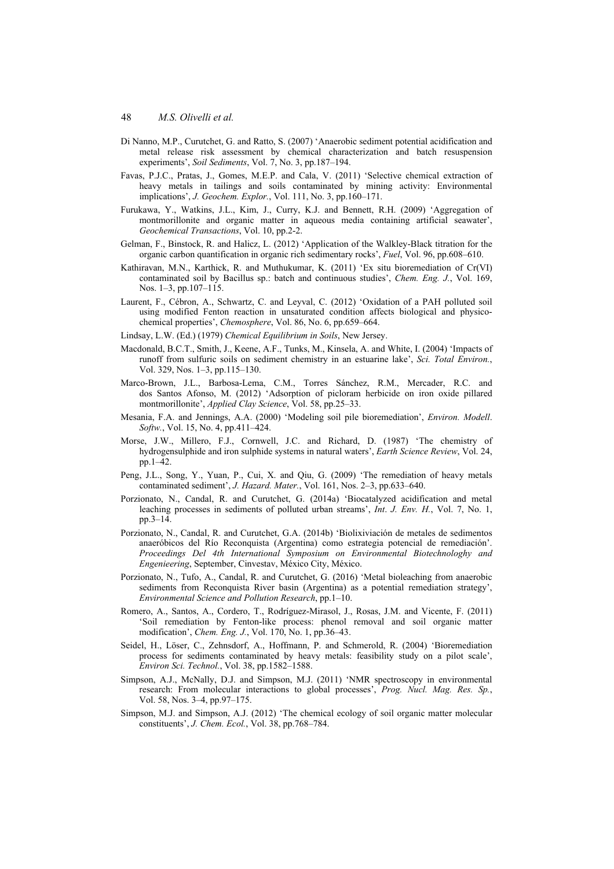- Di Nanno, M.P., Curutchet, G. and Ratto, S. (2007) 'Anaerobic sediment potential acidification and metal release risk assessment by chemical characterization and batch resuspension experiments', *Soil Sediments*, Vol. 7, No. 3, pp.187–194.
- Favas, P.J.C., Pratas, J., Gomes, M.E.P. and Cala, V. (2011) 'Selective chemical extraction of heavy metals in tailings and soils contaminated by mining activity: Environmental implications', *J. Geochem. Explor.*, Vol. 111, No. 3, pp.160–171.
- Furukawa, Y., Watkins, J.L., Kim, J., Curry, K.J. and Bennett, R.H. (2009) 'Aggregation of montmorillonite and organic matter in aqueous media containing artificial seawater', *Geochemical Transactions*, Vol. 10, pp.2-2.
- Gelman, F., Binstock, R. and Halicz, L. (2012) 'Application of the Walkley-Black titration for the organic carbon quantification in organic rich sedimentary rocks', *Fuel*, Vol. 96, pp.608–610.
- Kathiravan, M.N., Karthick, R. and Muthukumar, K. (2011) 'Ex situ bioremediation of Cr(VI) contaminated soil by Bacillus sp.: batch and continuous studies', *Chem. Eng. J.*, Vol. 169, Nos. 1–3, pp.107–115.
- Laurent, F., Cébron, A., Schwartz, C. and Leyval, C. (2012) 'Oxidation of a PAH polluted soil using modified Fenton reaction in unsaturated condition affects biological and physicochemical properties', *Chemosphere*, Vol. 86, No. 6, pp.659–664.
- Lindsay, L.W. (Ed.) (1979) *Chemical Equilibrium in Soils*, New Jersey.
- Macdonald, B.C.T., Smith, J., Keene, A.F., Tunks, M., Kinsela, A. and White, I. (2004) 'Impacts of runoff from sulfuric soils on sediment chemistry in an estuarine lake', *Sci. Total Environ.*, Vol. 329, Nos. 1–3, pp.115–130.
- Marco-Brown, J.L., Barbosa-Lema, C.M., Torres Sánchez, R.M., Mercader, R.C. and dos Santos Afonso, M. (2012) 'Adsorption of picloram herbicide on iron oxide pillared montmorillonite', *Applied Clay Science*, Vol. 58, pp.25–33.
- Mesania, F.A. and Jennings, A.A. (2000) 'Modeling soil pile bioremediation', *Environ. Modell*. *Softw.*, Vol. 15, No. 4, pp.411–424.
- Morse, J.W., Millero, F.J., Cornwell, J.C. and Richard, D. (1987) 'The chemistry of hydrogensulphide and iron sulphide systems in natural waters', *Earth Science Review*, Vol. 24, pp.1–42.
- Peng, J.L., Song, Y., Yuan, P., Cui, X. and Qiu, G. (2009) 'The remediation of heavy metals contaminated sediment', *J. Hazard. Mater.*, Vol. 161, Nos. 2–3, pp.633–640.
- Porzionato, N., Candal, R. and Curutchet, G. (2014a) 'Biocatalyzed acidification and metal leaching processes in sediments of polluted urban streams', *Int*. *J. Env. H.*, Vol. 7, No. 1, pp.3–14.
- Porzionato, N., Candal, R. and Curutchet, G.A. (2014b) 'Biolixiviación de metales de sedimentos anaeróbicos del Río Reconquista (Argentina) como estrategia potencial de remediación'. *Proceedings Del 4th International Symposium on Environmental Biotechnologhy and Engenieering*, September, Cinvestav, México City, México.
- Porzionato, N., Tufo, A., Candal, R. and Curutchet, G. (2016) 'Metal bioleaching from anaerobic sediments from Reconquista River basin (Argentina) as a potential remediation strategy', *Environmental Science and Pollution Research*, pp.1–10.
- Romero, A., Santos, A., Cordero, T., Rodríguez-Mirasol, J., Rosas, J.M. and Vicente, F. (2011) 'Soil remediation by Fenton-like process: phenol removal and soil organic matter modification', *Chem. Eng. J.*, Vol. 170, No. 1, pp.36–43.
- Seidel, H., Löser, C., Zehnsdorf, A., Hoffmann, P. and Schmerold, R. (2004) 'Bioremediation process for sediments contaminated by heavy metals: feasibility study on a pilot scale', *Environ Sci. Technol.*, Vol. 38, pp.1582–1588.
- Simpson, A.J., McNally, D.J. and Simpson, M.J. (2011) 'NMR spectroscopy in environmental research: From molecular interactions to global processes', *Prog. Nucl. Mag. Res. Sp.*, Vol. 58, Nos. 3–4, pp.97–175.
- Simpson, M.J. and Simpson, A.J. (2012) 'The chemical ecology of soil organic matter molecular constituents', *J. Chem. Ecol.*, Vol. 38, pp.768–784.